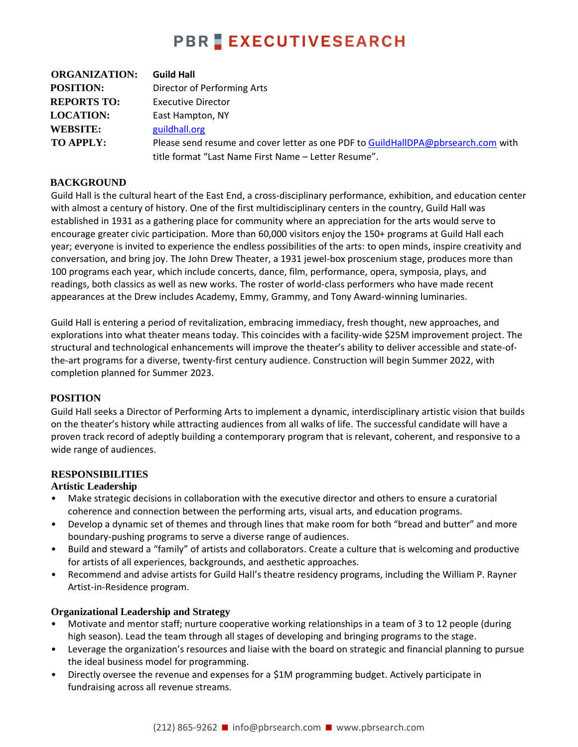## **PBR EXECUTIVESEARCH**

| <b>ORGANIZATION:</b> | <b>Guild Hall</b>                                                                 |
|----------------------|-----------------------------------------------------------------------------------|
| <b>POSITION:</b>     | Director of Performing Arts                                                       |
| <b>REPORTS TO:</b>   | <b>Executive Director</b>                                                         |
| <b>LOCATION:</b>     | East Hampton, NY                                                                  |
| <b>WEBSITE:</b>      | guildhall.org                                                                     |
| TO APPLY:            | Please send resume and cover letter as one PDF to GuildHallDPA@pbrsearch.com with |
|                      | title format "Last Name First Name - Letter Resume".                              |

#### **BACKGROUND**

Guild Hall is the cultural heart of the East End, a cross-disciplinary performance, exhibition, and education center with almost a century of history. One of the first multidisciplinary centers in the country, Guild Hall was established in 1931 as a gathering place for community where an appreciation for the arts would serve to encourage greater civic participation. More than 60,000 visitors enjoy the 150+ programs at Guild Hall each year; everyone is invited to experience the endless possibilities of the arts: to open minds, inspire creativity and conversation, and bring joy. The John Drew Theater, a 1931 jewel-box proscenium stage, produces more than 100 programs each year, which include concerts, dance, film, performance, opera, symposia, plays, and readings, both classics as well as new works. The roster of world-class performers who have made recent appearances at the Drew includes Academy, Emmy, Grammy, and Tony Award-winning luminaries.

Guild Hall is entering a period of revitalization, embracing immediacy, fresh thought, new approaches, and explorations into what theater means today. This coincides with a facility-wide \$25M improvement project. The structural and technological enhancements will improve the theater's ability to deliver accessible and state-ofthe-art programs for a diverse, twenty-first century audience. Construction will begin Summer 2022, with completion planned for Summer 2023.

#### **POSITION**

Guild Hall seeks a Director of Performing Arts to implement a dynamic, interdisciplinary artistic vision that builds on the theater's history while attracting audiences from all walks of life. The successful candidate will have a proven track record of adeptly building a contemporary program that is relevant, coherent, and responsive to a wide range of audiences.

#### **RESPONSIBILITIES**

#### **Artistic Leadership**

- Make strategic decisions in collaboration with the executive director and others to ensure a curatorial coherence and connection between the performing arts, visual arts, and education programs.
- Develop a dynamic set of themes and through lines that make room for both "bread and butter" and more boundary-pushing programs to serve a diverse range of audiences.
- Build and steward a "family" of artists and collaborators. Create a culture that is welcoming and productive for artists of all experiences, backgrounds, and aesthetic approaches.
- Recommend and advise artists for Guild Hall's theatre residency programs, including the William P. Rayner Artist-in-Residence program.

#### **Organizational Leadership and Strategy**

- Motivate and mentor staff; nurture cooperative working relationships in a team of 3 to 12 people (during high season). Lead the team through all stages of developing and bringing programs to the stage.
- Leverage the organization's resources and liaise with the board on strategic and financial planning to pursue the ideal business model for programming.
- Directly oversee the revenue and expenses for a \$1M programming budget. Actively participate in fundraising across all revenue streams.